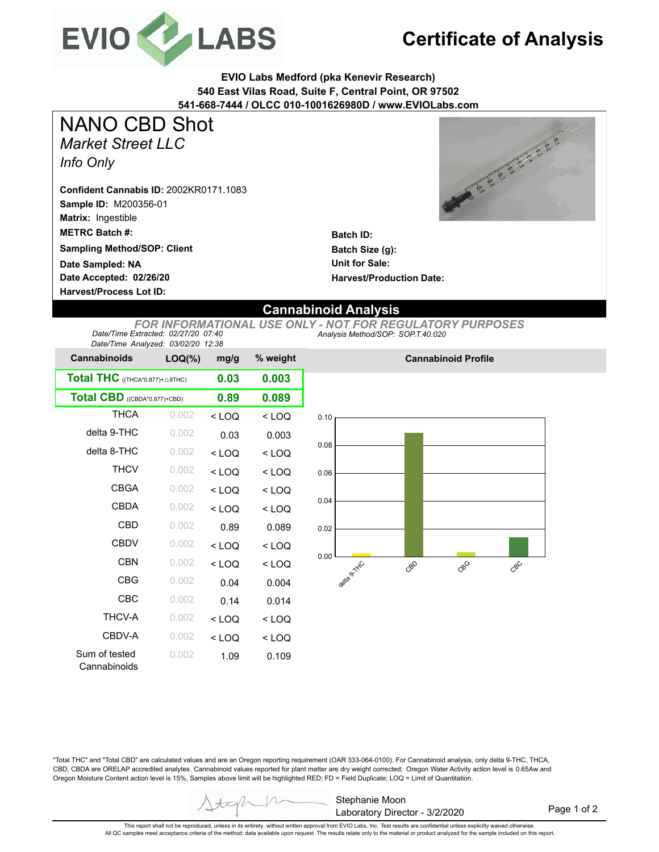

## **Certificate of Analysis**

**EVIO Labs Medford (pka Kenevir Research) 540 East Vilas Road, Suite F, Central Point, OR 97502 541-668-7444 / OLCC 010-1001626980D / www.EVIOLabs.com**

*Market Street LLC Info Only* NANO CBD Shot

**Sample ID:** M200356-01 **Matrix:** Ingestible **Confident Cannabis ID:** 2002KR0171.1083

**METRC Batch #:** 

**Sampling Method/SOP: Client**

**Date Accepted: 02/26/20 Date Sampled: NA**

**Harvest/Process Lot ID:** 

Canada Santa Linda Range

**Batch ID: Batch Size (g): Unit for Sale: Harvest/Production Date:** 

## **Cannabinoid Analysis**

*Analysis Method/SOP: SOP.T.40.020 FOR INFORMATIONAL USE ONLY - NOT FOR REGULATORY PURPOSES Date/Time Extracted: 02/27/20 07:40 Date/Time Analyzed: 03/02/20 12:38*

| Date/Time Analyzed. 03/02/20 12.30 |           |         |          |
|------------------------------------|-----------|---------|----------|
| <b>Cannabinoids</b>                | $LOQ(\%)$ | mg/g    | % weight |
| Total THC ((THCA*0.877)+ A9THC)    | 0.03      | 0.003   |          |
| Total CBD ((CBDA*0.877)+CBD)       |           | 0.89    | 0.089    |
| <b>THCA</b>                        | 0.002     | $<$ LOQ | $<$ LOQ  |
| delta 9-THC                        | 0.002     | 0.03    | 0.003    |
| delta 8-THC                        | 0.002     | $<$ LOQ | $<$ LOQ  |
| <b>THCV</b>                        | 0.002     | < 100   | $<$ LOQ  |
| <b>CBGA</b>                        | 0.002     | $<$ LOQ | $<$ LOQ  |
| CBDA                               | 0.002     | $<$ LOQ | $<$ LOQ  |
| CBD                                | 0.002     | 0.89    | 0.089    |
| CBDV                               | 0.002     | $<$ LOQ | $<$ LOQ  |
| <b>CBN</b>                         | 0.002     | < 100   | $<$ LOQ  |
| <b>CBG</b>                         | 0.002     | 0.04    | 0.004    |
| CBC                                | 0.002     | 0.14    | 0.014    |
| <b>THCV-A</b>                      | 0.002     | < 100   | $<$ LOQ  |
| CBDV-A                             | 0.002     | $<$ LOQ | $<$ LOQ  |
| Sum of tested<br>Cannabinoids      | 0.002     | 1.09    | 0.109    |



**Cannabinoid Profile**

"Total THC" and "Total CBD" are calculated values and are an Oregon reporting requirement (OAR 333-064-0100). For Cannabinoid analysis, only delta 9-THC, THCA, CBD, CBDA are ORELAP accredited analytes. Cannabinoid values reported for plant matter are dry weight corrected; Oregon Water Activity action level is 0.65Aw and Oregon Moisture Content action level is 15%, Samples above limit will be highlighted RED; FD = Field Duplicate; LOQ = Limit of Quantitation.

> Stephanie Moon Laboratory Director - 3/2/2020

Page 1 of 2

This report shall not be reproduced, unless in its entirety, without written approval from EVIO Labs, Inc. Test results are confidential unless explicitly waived otherwise. All QC samples meet acceptance criteria of the method; data available upon request. The results relate only to the material or product analyzed for the sample included on this report.